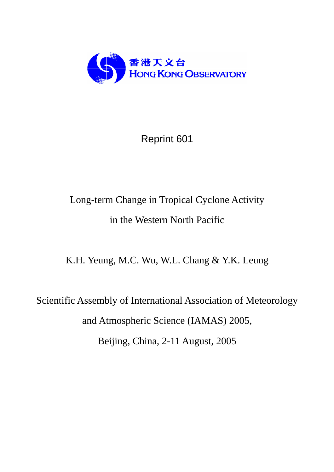

## Reprint 601

# Long-term Change in Tropical Cyclone Activity in the Western North Pacific

K.H. Yeung, M.C. Wu, W.L. Chang & Y.K. Leung

Scientific Assembly of International Association of Meteorology and Atmospheric Science (IAMAS) 2005, Beijing, China, 2-11 August, 2005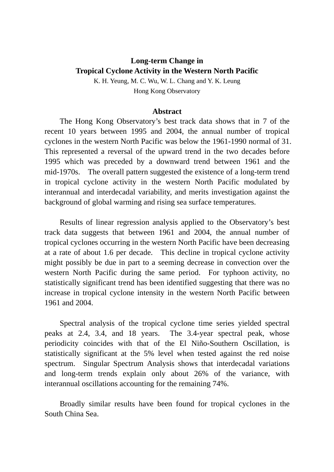## **Long-term Change in Tropical Cyclone Activity in the Western North Pacific**

K. H. Yeung, M. C. Wu, W. L. Chang and Y. K. Leung Hong Kong Observatory

#### **Abstract**

The Hong Kong Observatory's best track data shows that in 7 of the recent 10 years between 1995 and 2004, the annual number of tropical cyclones in the western North Pacific was below the 1961-1990 normal of 31. This represented a reversal of the upward trend in the two decades before 1995 which was preceded by a downward trend between 1961 and the mid-1970s. The overall pattern suggested the existence of a long-term trend in tropical cyclone activity in the western North Pacific modulated by interannual and interdecadal variability, and merits investigation against the background of global warming and rising sea surface temperatures.

Results of linear regression analysis applied to the Observatory's best track data suggests that between 1961 and 2004, the annual number of tropical cyclones occurring in the western North Pacific have been decreasing at a rate of about 1.6 per decade. This decline in tropical cyclone activity might possibly be due in part to a seeming decrease in convection over the western North Pacific during the same period. For typhoon activity, no statistically significant trend has been identified suggesting that there was no increase in tropical cyclone intensity in the western North Pacific between 1961 and 2004.

Spectral analysis of the tropical cyclone time series yielded spectral peaks at 2.4, 3.4, and 18 years. The 3.4-year spectral peak, whose periodicity coincides with that of the El Niño-Southern Oscillation, is statistically significant at the 5% level when tested against the red noise spectrum. Singular Spectrum Analysis shows that interdecadal variations and long-term trends explain only about 26% of the variance, with interannual oscillations accounting for the remaining 74%.

Broadly similar results have been found for tropical cyclones in the South China Sea.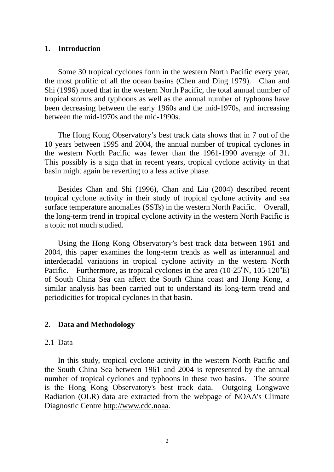## **1. Introduction**

Some 30 tropical cyclones form in the western North Pacific every year, the most prolific of all the ocean basins (Chen and Ding 1979). Chan and Shi (1996) noted that in the western North Pacific, the total annual number of tropical storms and typhoons as well as the annual number of typhoons have been decreasing between the early 1960s and the mid-1970s, and increasing between the mid-1970s and the mid-1990s.

The Hong Kong Observatory's best track data shows that in 7 out of the 10 years between 1995 and 2004, the annual number of tropical cyclones in the western North Pacific was fewer than the 1961-1990 average of 31. This possibly is a sign that in recent years, tropical cyclone activity in that basin might again be reverting to a less active phase.

Besides Chan and Shi (1996), Chan and Liu (2004) described recent tropical cyclone activity in their study of tropical cyclone activity and sea surface temperature anomalies (SSTs) in the western North Pacific. Overall, the long-term trend in tropical cyclone activity in the western North Pacific is a topic not much studied.

Using the Hong Kong Observatory's best track data between 1961 and 2004, this paper examines the long-term trends as well as interannual and interdecadal variations in tropical cyclone activity in the western North Pacific. Furthermore, as tropical cyclones in the area  $(10-25^{\circ}N, 105-120^{\circ}E)$ of South China Sea can affect the South China coast and Hong Kong, a similar analysis has been carried out to understand its long-term trend and periodicities for tropical cyclones in that basin.

## **2. Data and Methodology**

## 2.1 Data

In this study, tropical cyclone activity in the western North Pacific and the South China Sea between 1961 and 2004 is represented by the annual number of tropical cyclones and typhoons in these two basins. The source is the Hong Kong Observatory's best track data. Outgoing Longwave Radiation (OLR) data are extracted from the webpage of NOAA's Climate Diagnostic Centre http://www.cdc.noaa.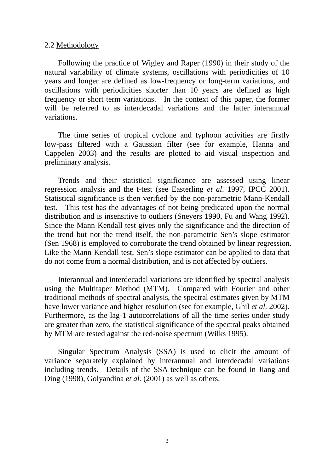#### 2.2 Methodology

Following the practice of Wigley and Raper (1990) in their study of the natural variability of climate systems, oscillations with periodicities of 10 years and longer are defined as low-frequency or long-term variations, and oscillations with periodicities shorter than 10 years are defined as high frequency or short term variations. In the context of this paper, the former will be referred to as interdecadal variations and the latter interannual variations.

The time series of tropical cyclone and typhoon activities are firstly low-pass filtered with a Gaussian filter (see for example, Hanna and Cappelen 2003) and the results are plotted to aid visual inspection and preliminary analysis.

Trends and their statistical significance are assessed using linear regression analysis and the t-test (see Easterling *et al*. 1997, IPCC 2001). Statistical significance is then verified by the non-parametric Mann-Kendall test. This test has the advantages of not being predicated upon the normal distribution and is insensitive to outliers (Sneyers 1990, Fu and Wang 1992). Since the Mann-Kendall test gives only the significance and the direction of the trend but not the trend itself, the non-parametric Sen's slope estimator (Sen 1968) is employed to corroborate the trend obtained by linear regression. Like the Mann-Kendall test, Sen's slope estimator can be applied to data that do not come from a normal distribution, and is not affected by outliers.

Interannual and interdecadal variations are identified by spectral analysis using the Multitaper Method (MTM). Compared with Fourier and other traditional methods of spectral analysis, the spectral estimates given by MTM have lower variance and higher resolution (see for example, Ghil *et al.* 2002). Furthermore, as the lag-1 autocorrelations of all the time series under study are greater than zero, the statistical significance of the spectral peaks obtained by MTM are tested against the red-noise spectrum (Wilks 1995).

Singular Spectrum Analysis (SSA) is used to elicit the amount of variance separately explained by interannual and interdecadal variations including trends. Details of the SSA technique can be found in Jiang and Ding (1998), Golyandina *et al.* (2001) as well as others.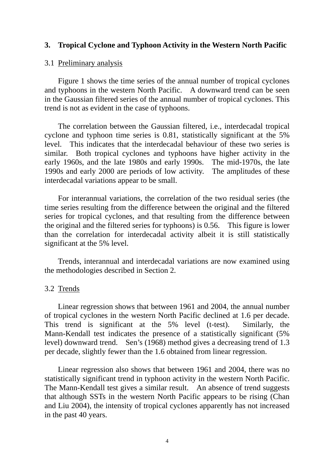## **3. Tropical Cyclone and Typhoon Activity in the Western North Pacific**

#### 3.1 Preliminary analysis

Figure 1 shows the time series of the annual number of tropical cyclones and typhoons in the western North Pacific. A downward trend can be seen in the Gaussian filtered series of the annual number of tropical cyclones. This trend is not as evident in the case of typhoons.

The correlation between the Gaussian filtered, i.e., interdecadal tropical cyclone and typhoon time series is 0.81, statistically significant at the 5% level. This indicates that the interdecadal behaviour of these two series is similar. Both tropical cyclones and typhoons have higher activity in the early 1960s, and the late 1980s and early 1990s. The mid-1970s, the late 1990s and early 2000 are periods of low activity. The amplitudes of these interdecadal variations appear to be small.

For interannual variations, the correlation of the two residual series (the time series resulting from the difference between the original and the filtered series for tropical cyclones, and that resulting from the difference between the original and the filtered series for typhoons) is 0.56. This figure is lower than the correlation for interdecadal activity albeit it is still statistically significant at the 5% level.

Trends, interannual and interdecadal variations are now examined using the methodologies described in Section 2.

## 3.2 Trends

Linear regression shows that between 1961 and 2004, the annual number of tropical cyclones in the western North Pacific declined at 1.6 per decade. This trend is significant at the 5% level (t-test). Similarly, the Mann-Kendall test indicates the presence of a statistically significant (5% level) downward trend. Sen's (1968) method gives a decreasing trend of 1.3 per decade, slightly fewer than the 1.6 obtained from linear regression.

Linear regression also shows that between 1961 and 2004, there was no statistically significant trend in typhoon activity in the western North Pacific. The Mann-Kendall test gives a similar result. An absence of trend suggests that although SSTs in the western North Pacific appears to be rising (Chan and Liu 2004), the intensity of tropical cyclones apparently has not increased in the past 40 years.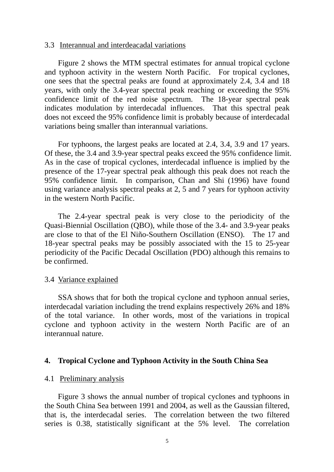#### 3.3 Interannual and interdeacadal variations

Figure 2 shows the MTM spectral estimates for annual tropical cyclone and typhoon activity in the western North Pacific. For tropical cyclones, one sees that the spectral peaks are found at approximately 2.4, 3.4 and 18 years, with only the 3.4-year spectral peak reaching or exceeding the 95% confidence limit of the red noise spectrum. The 18-year spectral peak indicates modulation by interdecadal influences. That this spectral peak does not exceed the 95% confidence limit is probably because of interdecadal variations being smaller than interannual variations.

For typhoons, the largest peaks are located at 2.4, 3.4, 3.9 and 17 years. Of these, the 3.4 and 3.9-year spectral peaks exceed the 95% confidence limit. As in the case of tropical cyclones, interdecadal influence is implied by the presence of the 17-year spectral peak although this peak does not reach the 95% confidence limit. In comparison, Chan and Shi (1996) have found using variance analysis spectral peaks at 2, 5 and 7 years for typhoon activity in the western North Pacific.

The 2.4-year spectral peak is very close to the periodicity of the Quasi-Biennial Oscillation (QBO), while those of the 3.4- and 3.9-year peaks are close to that of the El Niño-Southern Oscillation (ENSO). The 17 and 18-year spectral peaks may be possibly associated with the 15 to 25-year periodicity of the Pacific Decadal Oscillation (PDO) although this remains to be confirmed.

### 3.4 Variance explained

SSA shows that for both the tropical cyclone and typhoon annual series, interdecadal variation including the trend explains respectively 26% and 18% of the total variance. In other words, most of the variations in tropical cyclone and typhoon activity in the western North Pacific are of an interannual nature.

### **4. Tropical Cyclone and Typhoon Activity in the South China Sea**

#### 4.1 Preliminary analysis

Figure 3 shows the annual number of tropical cyclones and typhoons in the South China Sea between 1991 and 2004, as well as the Gaussian filtered, that is, the interdecadal series. The correlation between the two filtered series is 0.38, statistically significant at the 5% level. The correlation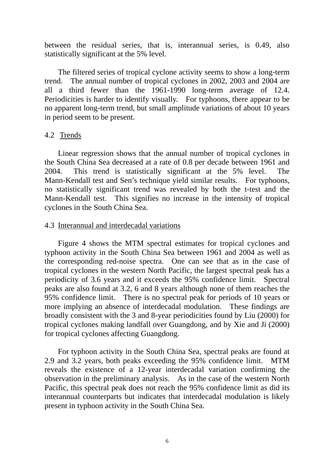between the residual series, that is, interannual series, is 0.49, also statistically significant at the 5% level.

The filtered series of tropical cyclone activity seems to show a long-term trend. The annual number of tropical cyclones in 2002, 2003 and 2004 are all a third fewer than the 1961-1990 long-term average of 12.4. Periodicities is harder to identify visually. For typhoons, there appear to be no apparent long-term trend, but small amplitude variations of about 10 years in period seem to be present.

## 4.2 Trends

Linear regression shows that the annual number of tropical cyclones in the South China Sea decreased at a rate of 0.8 per decade between 1961 and 2004. This trend is statistically significant at the 5% level. The Mann-Kendall test and Sen's technique yield similar results. For typhoons, no statistically significant trend was revealed by both the t-test and the Mann-Kendall test. This signifies no increase in the intensity of tropical cyclones in the South China Sea.

## 4.3 Interannual and interdecadal variations

Figure 4 shows the MTM spectral estimates for tropical cyclones and typhoon activity in the South China Sea between 1961 and 2004 as well as the corresponding red-noise spectra. One can see that as in the case of tropical cyclones in the western North Pacific, the largest spectral peak has a periodicity of 3.6 years and it exceeds the 95% confidence limit. Spectral peaks are also found at 3.2, 6 and 8 years although none of them reaches the 95% confidence limit. There is no spectral peak for periods of 10 years or more implying an absence of interdecadal modulation. These findings are broadly consistent with the 3 and 8-year periodicities found by Liu (2000) for tropical cyclones making landfall over Guangdong, and by Xie and Ji (2000) for tropical cyclones affecting Guangdong.

For typhoon activity in the South China Sea, spectral peaks are found at 2.9 and 3.2 years, both peaks exceeding the 95% confidence limit. MTM reveals the existence of a 12-year interdecadal variation confirming the observation in the preliminary analysis. As in the case of the western North Pacific, this spectral peak does not reach the 95% confidence limit as did its interannual counterparts but indicates that interdecadal modulation is likely present in typhoon activity in the South China Sea.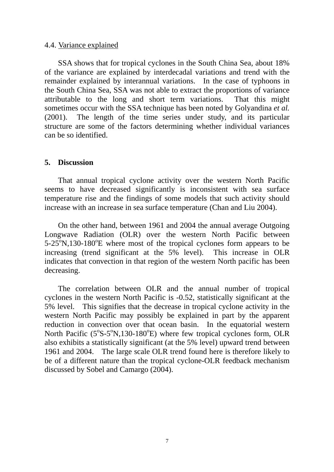## 4.4. Variance explained

SSA shows that for tropical cyclones in the South China Sea, about 18% of the variance are explained by interdecadal variations and trend with the remainder explained by interannual variations. In the case of typhoons in the South China Sea, SSA was not able to extract the proportions of variance attributable to the long and short term variations. That this might sometimes occur with the SSA technique has been noted by Golyandina *et al.* (2001). The length of the time series under study, and its particular structure are some of the factors determining whether individual variances can be so identified.

## **5. Discussion**

That annual tropical cyclone activity over the western North Pacific seems to have decreased significantly is inconsistent with sea surface temperature rise and the findings of some models that such activity should increase with an increase in sea surface temperature (Chan and Liu 2004).

On the other hand, between 1961 and 2004 the annual average Outgoing Longwave Radiation (OLR) over the western North Pacific between  $5-25^\circ$ N,130-180 $^\circ$ E where most of the tropical cyclones form appears to be increasing (trend significant at the 5% level). This increase in OLR indicates that convection in that region of the western North pacific has been decreasing.

The correlation between OLR and the annual number of tropical cyclones in the western North Pacific is -0.52, statistically significant at the 5% level. This signifies that the decrease in tropical cyclone activity in the western North Pacific may possibly be explained in part by the apparent reduction in convection over that ocean basin. In the equatorial western North Pacific  $(5^{\circ}S - 5^{\circ}N, 130 - 180^{\circ}E)$  where few tropical cyclones form, OLR also exhibits a statistically significant (at the 5% level) upward trend between 1961 and 2004. The large scale OLR trend found here is therefore likely to be of a different nature than the tropical cyclone-OLR feedback mechanism discussed by Sobel and Camargo (2004).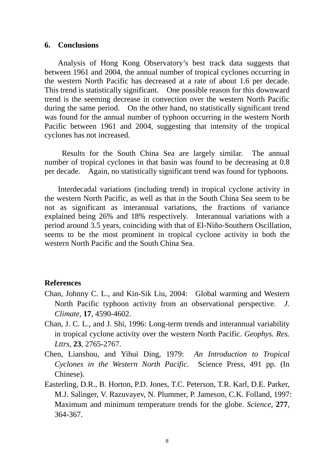#### **6. Conclusions**

Analysis of Hong Kong Observatory's best track data suggests that between 1961 and 2004, the annual number of tropical cyclones occurring in the western North Pacific has decreased at a rate of about 1.6 per decade. This trend is statistically significant. One possible reason for this downward trend is the seeming decrease in convection over the western North Pacific during the same period. On the other hand, no statistically significant trend was found for the annual number of typhoon occurring in the western North Pacific between 1961 and 2004, suggesting that intensity of the tropical cyclones has not increased.

 Results for the South China Sea are largely similar. The annual number of tropical cyclones in that basin was found to be decreasing at 0.8 per decade. Again, no statistically significant trend was found for typhoons.

Interdecadal variations (including trend) in tropical cyclone activity in the western North Pacific, as well as that in the South China Sea seem to be not as significant as interannual variations, the fractions of variance explained being 26% and 18% respectively. Interannual variations with a period around 3.5 years, coinciding with that of El-Niño-Southern Oscillation, seems to be the most prominent in tropical cyclone activity in both the western North Pacific and the South China Sea.

## **References**

- Chan, Johnny C. L., and Kin-Sik Liu, 2004: Global warming and Western North Pacific typhoon activity from an observational perspective. *J. Climate*, **17**, 4590-4602.
- Chan, J. C. L., and J. Shi, 1996: Long-term trends and interannual variability in tropical cyclone activity over the western North Pacific. *Geophys. Res. Lttrs*, **23**, 2765-2767.
- Chen, Lianshou, and Yihui Ding, 1979: *An Introduction to Tropical Cyclones in the Western North Pacific*. Science Press, 491 pp. (In Chinese).
- Easterling, D.R., B. Horton, P.D. Jones, T.C. Peterson, T.R. Karl, D.E. Parker, M.J. Salinger, V. Razuvayev, N. Plummer, P. Jameson, C.K. Folland, 1997: Maximum and minimum temperature trends for the globe. *Science*, **277**, 364-367.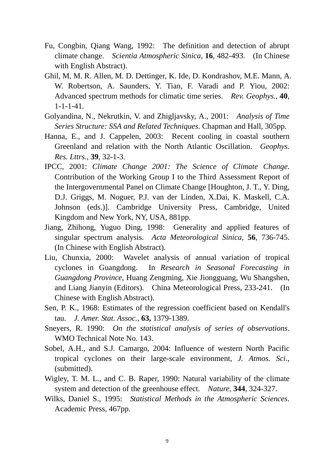- Fu, Congbin, Qiang Wang, 1992: The definition and detection of abrupt climate change. *Scientia Atmospheric Sinica*, **16**, 482-493. (In Chinese with English Abstract).
- Ghil, M, M. R. Allen, M. D. Dettinger, K. Ide, D. Kondrashov, M.E. Mann, A. W. Robertson, A. Saunders, Y. Tian, F. Varadi and P. Yiou, 2002: Advanced spectrum methods for climatic time series. *Rev. Geophys.*, **40**, 1-1-1-41.
- Golyandina, N., Nekrutkin, V. and Zhigljavsky, A., 2001: *Analysis of Time Series Structure: SSA and Related Techniques*. Chapman and Hall, 305pp.
- Hanna, E., and J. Cappelen, 2003: Recent cooling in coastal southern Greenland and relation with the North Atlantic Oscillation. *Geophys. Res. Lttrs.*, **39**, 32-1-3.
- IPCC, 2001: *Climate Change 2001: The Science of Climate Change*. Contribution of the Working Group I to the Third Assessment Report of the Intergovernmental Panel on Climate Change [Houghton, J. T., Y. Ding, D.J. Griggs, M. Noguer, P.J. van der Linden, X.Dai, K. Maskell, C.A. Johnson (eds.)]. Cambridge University Press, Cambridge, United Kingdom and New York, NY, USA, 881pp.
- Jiang, Zhihong, Yuguo Ding, 1998: Generality and applied features of singular spectrum analysis. *Acta Meteorological Sinica*, **56**, 736-745. (In Chinese with English Abstract).
- Liu, Chunxia, 2000: Wavelet analysis of annual variation of tropical cyclones in Guangdong. In *Research in Seasonal Forecasting in Guangdong Province*, Huang Zengming, Xie Jiongguang, Wu Shangshen, and Liang Jianyin (Editors). China Meteorological Press, 233-241. (In Chinese with English Abstract).
- Sen, P. K., 1968: Estimates of the regression coefficient based on Kendall's tau. *J. Amer. Stat. Assoc.*, **63,** 1379-1389.
- Sneyers, R. 1990: *On the statistical analysis of series of observations*. WMO Technical Note No. 143.
- Sobel, A.H., and S.J. Camargo, 2004: Influence of western North Pacific tropical cyclones on their large-scale environment, *J. Atmos. Sci*., (submitted).
- Wigley, T. M. L., and C. B. Raper, 1990: Natural variability of the climate system and detection of the greenhouse effect. *Nature*, **344**, 324-327.
- Wilks, Daniel S., 1995: *Statistical Methods in the Atmospheric Sciences*. Academic Press, 467pp.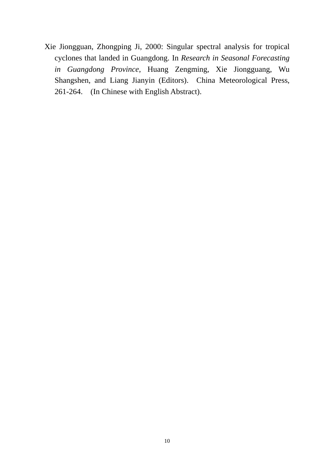Xie Jiongguan, Zhongping Ji, 2000: Singular spectral analysis for tropical cyclones that landed in Guangdong. In *Research in Seasonal Forecasting in Guangdong Province*, Huang Zengming, Xie Jiongguang, Wu Shangshen, and Liang Jianyin (Editors). China Meteorological Press, 261-264. (In Chinese with English Abstract).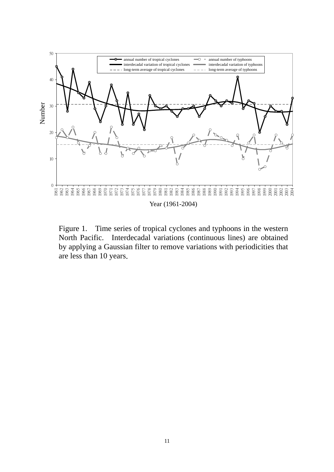

Figure 1. Time series of tropical cyclones and typhoons in the western North Pacific. Interdecadal variations (continuous lines) are obtained by applying a Gaussian filter to remove variations with periodicities that are less than 10 years.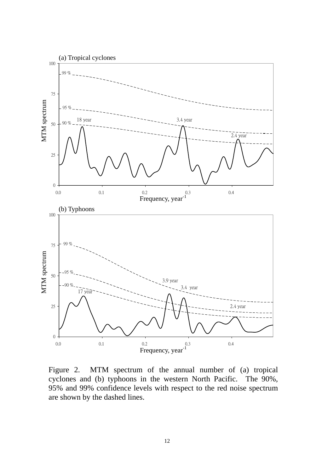

Figure 2. MTM spectrum of the annual number of (a) tropical cyclones and (b) typhoons in the western North Pacific. The 90%, 95% and 99% confidence levels with respect to the red noise spectrum are shown by the dashed lines.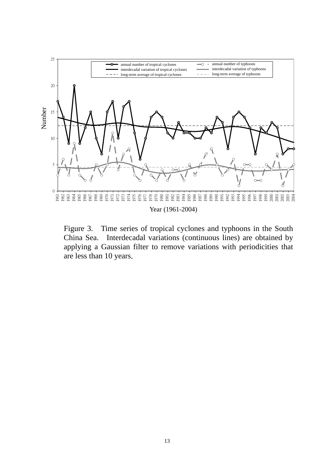

Figure 3. Time series of tropical cyclones and typhoons in the South China Sea. Interdecadal variations (continuous lines) are obtained by applying a Gaussian filter to remove variations with periodicities that are less than 10 years.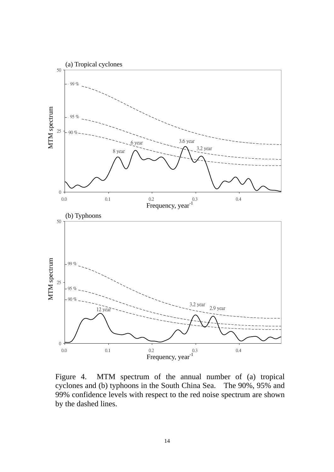

Figure 4. MTM spectrum of the annual number of (a) tropical cyclones and (b) typhoons in the South China Sea. The 90%, 95% and 99% confidence levels with respect to the red noise spectrum are shown by the dashed lines.